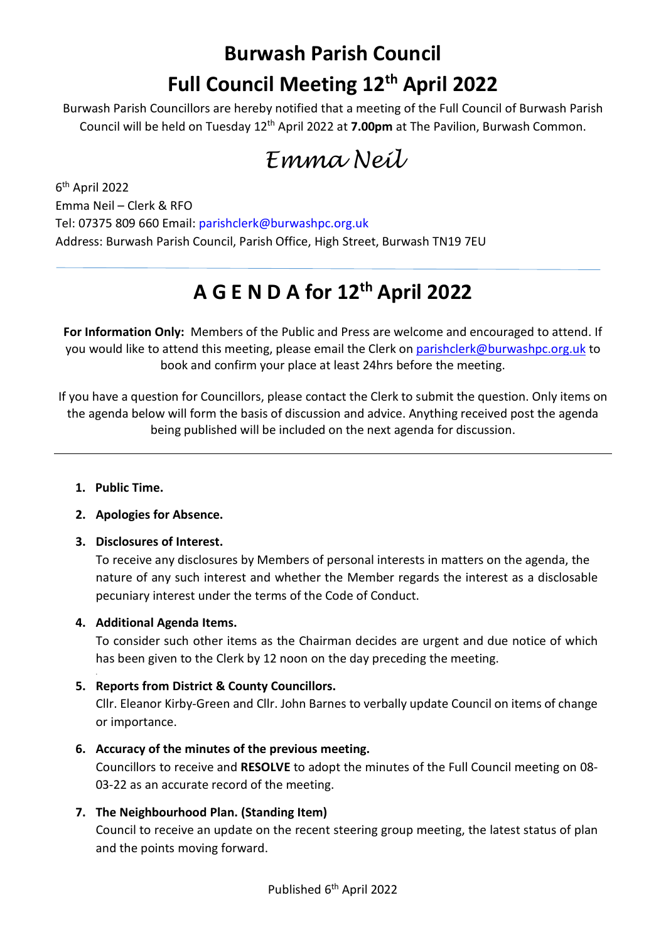# **Burwash Parish Council Full Council Meeting 12th April 2022**

Burwash Parish Councillors are hereby notified that a meeting of the Full Council of Burwash Parish Council will be held on Tuesday 12th April 2022 at **7.00pm** at The Pavilion, Burwash Common.

## *Emma Neil*

6th April 2022 Emma Neil – Clerk & RFO Tel: 07375 809 660 Email: parishclerk@burwashpc.org.uk Address: Burwash Parish Council, Parish Office, High Street, Burwash TN19 7EU

## **A G E N D A for 12th April 2022**

**For Information Only:** Members of the Public and Press are welcome and encouraged to attend. If you would like to attend this meeting, please email the Clerk on [parishclerk@burwashpc.org.uk](mailto:parishclerk@burwashpc.org.uk) to book and confirm your place at least 24hrs before the meeting.

If you have a question for Councillors, please contact the Clerk to submit the question. Only items on the agenda below will form the basis of discussion and advice. Anything received post the agenda being published will be included on the next agenda for discussion.

#### **1. Public Time.**

.

#### **2. Apologies for Absence.**

#### **3. Disclosures of Interest.**

To receive any disclosures by Members of personal interests in matters on the agenda, the nature of any such interest and whether the Member regards the interest as a disclosable pecuniary interest under the terms of the Code of Conduct.

#### **4. Additional Agenda Items.**

To consider such other items as the Chairman decides are urgent and due notice of which has been given to the Clerk by 12 noon on the day preceding the meeting.

#### **5. Reports from District & County Councillors.**

Cllr. Eleanor Kirby-Green and Cllr. John Barnes to verbally update Council on items of change or importance.

#### **6. Accuracy of the minutes of the previous meeting.**

Councillors to receive and **RESOLVE** to adopt the minutes of the Full Council meeting on 08- 03-22 as an accurate record of the meeting.

#### **7. The Neighbourhood Plan. (Standing Item)**

Council to receive an update on the recent steering group meeting, the latest status of plan and the points moving forward.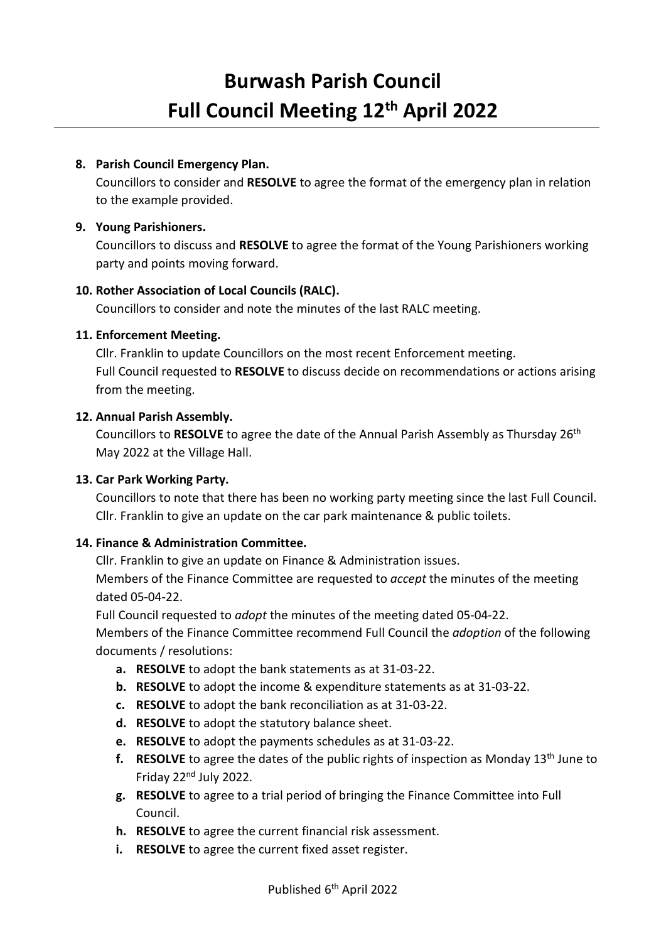## **Burwash Parish Council Full Council Meeting 12th April 2022**

#### **8. Parish Council Emergency Plan.**

Councillors to consider and **RESOLVE** to agree the format of the emergency plan in relation to the example provided.

#### **9. Young Parishioners.**

Councillors to discuss and **RESOLVE** to agree the format of the Young Parishioners working party and points moving forward.

#### **10. Rother Association of Local Councils (RALC).**

Councillors to consider and note the minutes of the last RALC meeting.

#### **11. Enforcement Meeting.**

Cllr. Franklin to update Councillors on the most recent Enforcement meeting. Full Council requested to **RESOLVE** to discuss decide on recommendations or actions arising from the meeting.

#### **12. Annual Parish Assembly.**

Councillors to **RESOLVE** to agree the date of the Annual Parish Assembly as Thursday 26th May 2022 at the Village Hall.

#### **13. Car Park Working Party.**

Councillors to note that there has been no working party meeting since the last Full Council. Cllr. Franklin to give an update on the car park maintenance & public toilets.

#### **14. Finance & Administration Committee.**

Cllr. Franklin to give an update on Finance & Administration issues. Members of the Finance Committee are requested to *accept* the minutes of the meeting dated 05-04-22.

Full Council requested to *adopt* the minutes of the meeting dated 05-04-22.

Members of the Finance Committee recommend Full Council the *adoption* of the following documents / resolutions:

- **a. RESOLVE** to adopt the bank statements as at 31-03-22.
- **b. RESOLVE** to adopt the income & expenditure statements as at 31-03-22.
- **c. RESOLVE** to adopt the bank reconciliation as at 31-03-22.
- **d. RESOLVE** to adopt the statutory balance sheet.
- **e. RESOLVE** to adopt the payments schedules as at 31-03-22.
- **f. RESOLVE** to agree the dates of the public rights of inspection as Monday 13th June to Friday 22nd July 2022.
- **g. RESOLVE** to agree to a trial period of bringing the Finance Committee into Full Council.
- **h. RESOLVE** to agree the current financial risk assessment.
- **i. RESOLVE** to agree the current fixed asset register.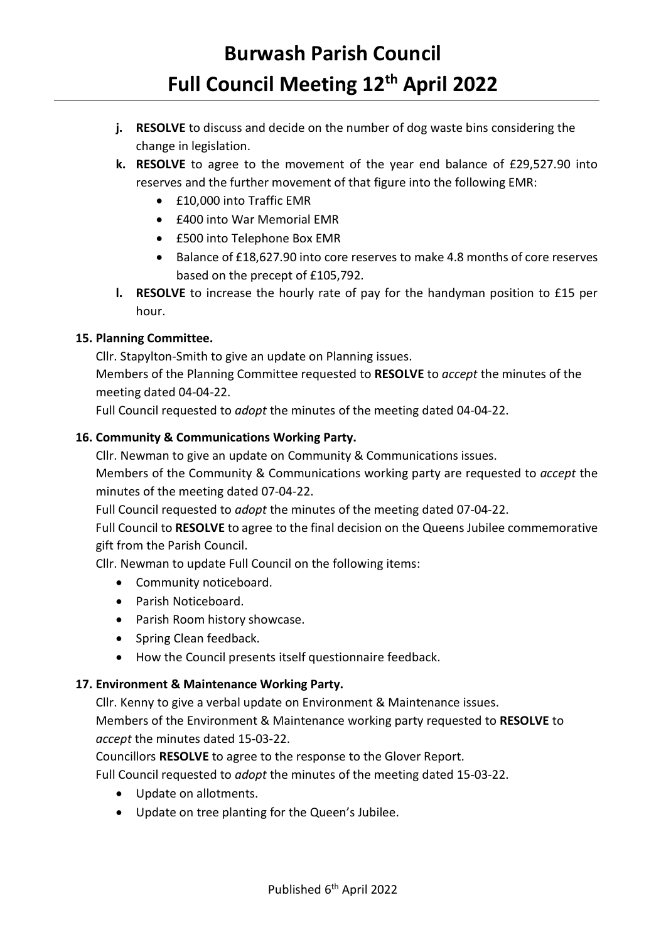## **Burwash Parish Council Full Council Meeting 12th April 2022**

- **j. RESOLVE** to discuss and decide on the number of dog waste bins considering the change in legislation.
- **k. RESOLVE** to agree to the movement of the year end balance of £29,527.90 into reserves and the further movement of that figure into the following EMR:
	- £10,000 into Traffic EMR
	- £400 into War Memorial EMR
	- £500 into Telephone Box EMR
	- Balance of £18,627.90 into core reserves to make 4.8 months of core reserves based on the precept of £105,792.
- **l. RESOLVE** to increase the hourly rate of pay for the handyman position to £15 per hour.

### **15. Planning Committee.**

Cllr. Stapylton-Smith to give an update on Planning issues.

Members of the Planning Committee requested to **RESOLVE** to *accept* the minutes of the meeting dated 04-04-22.

Full Council requested to *adopt* the minutes of the meeting dated 04-04-22.

### **16. Community & Communications Working Party.**

Cllr. Newman to give an update on Community & Communications issues.

Members of the Community & Communications working party are requested to *accept* the minutes of the meeting dated 07-04-22.

Full Council requested to *adopt* the minutes of the meeting dated 07-04-22.

Full Council to **RESOLVE** to agree to the final decision on the Queens Jubilee commemorative gift from the Parish Council.

Cllr. Newman to update Full Council on the following items:

- Community noticeboard.
- Parish Noticeboard.
- Parish Room history showcase.
- Spring Clean feedback.
- How the Council presents itself questionnaire feedback.

#### **17. Environment & Maintenance Working Party.**

Cllr. Kenny to give a verbal update on Environment & Maintenance issues. Members of the Environment & Maintenance working party requested to **RESOLVE** to *accept* the minutes dated 15-03-22.

Councillors **RESOLVE** to agree to the response to the Glover Report.

Full Council requested to *adopt* the minutes of the meeting dated 15-03-22.

- Update on allotments.
- Update on tree planting for the Queen's Jubilee.